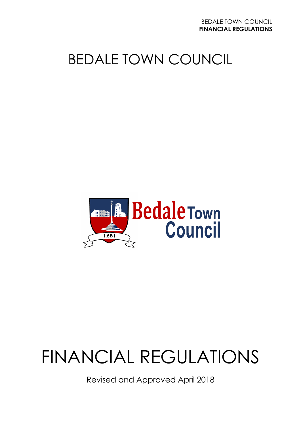# BEDALE TOWN COUNCIL



# FINANCIAL REGULATIONS

Revised and Approved April 2018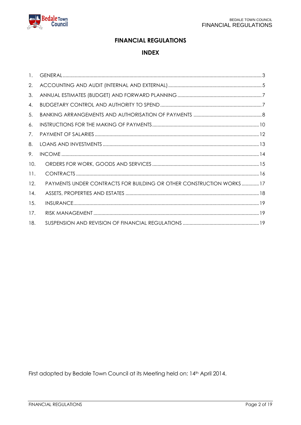#### **FINANCIAL REGULATIONS**

#### **INDEX**

| $\mathbf{1}$ . |                                                                     |
|----------------|---------------------------------------------------------------------|
| 2.             |                                                                     |
| 3.             |                                                                     |
| 4.             |                                                                     |
| 5.             |                                                                     |
| 6.             |                                                                     |
| 7.             |                                                                     |
| 8.             |                                                                     |
| 9.             |                                                                     |
| 10.            |                                                                     |
| 11.            |                                                                     |
| 12.            | PAYMENTS UNDER CONTRACTS FOR BUILDING OR OTHER CONSTRUCTION WORKS17 |
| 14.            |                                                                     |
| 15.            |                                                                     |
| 17.            |                                                                     |
| 18.            |                                                                     |

<span id="page-1-0"></span>First adopted by Bedale Town Council at its Meeting held on: 14th April 2014.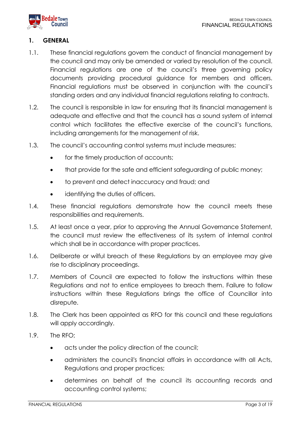

# **1. GENERAL**

- 1.1. These financial regulations govern the conduct of financial management by the council and may only be amended or varied by resolution of the council. Financial regulations are one of the council's three governing policy documents providing procedural guidance for members and officers. Financial regulations must be observed in conjunction with the council's standing orders and any individual financial regulations relating to contracts.
- 1.2. The council is responsible in law for ensuring that its financial management is adequate and effective and that the council has a sound system of internal control which facilitates the effective exercise of the council's functions, including arrangements for the management of risk.
- 1.3. The council's accounting control systems must include measures:
	- for the timely production of accounts;
	- that provide for the safe and efficient safeguarding of public money;
	- to prevent and detect inaccuracy and fraud; and
	- identifying the duties of officers.
- 1.4. These financial regulations demonstrate how the council meets these responsibilities and requirements.
- 1.5. At least once a year, prior to approving the Annual Governance Statement, the council must review the effectiveness of its system of internal control which shall be in accordance with proper practices.
- 1.6. Deliberate or wilful breach of these Regulations by an employee may give rise to disciplinary proceedings.
- 1.7. Members of Council are expected to follow the instructions within these Regulations and not to entice employees to breach them. Failure to follow instructions within these Regulations brings the office of Councillor into disrepute.
- 1.8. The Clerk has been appointed as RFO for this council and these regulations will apply accordingly.
- 1.9. The RFO;
	- acts under the policy direction of the council;
	- administers the council's financial affairs in accordance with all Acts, Regulations and proper practices;
	- determines on behalf of the council its accounting records and accounting control systems;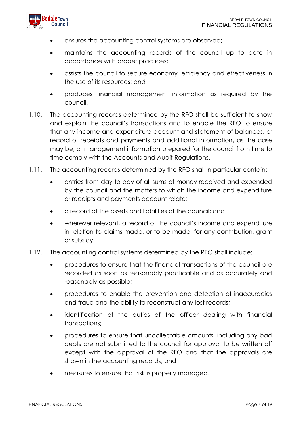

- ensures the accounting control systems are observed;
- maintains the accounting records of the council up to date in accordance with proper practices;
- assists the council to secure economy, efficiency and effectiveness in the use of its resources; and
- produces financial management information as required by the council.
- 1.10. The accounting records determined by the RFO shall be sufficient to show and explain the council's transactions and to enable the RFO to ensure that any income and expenditure account and statement of balances, or record of receipts and payments and additional information, as the case may be, or management information prepared for the council from time to time comply with the Accounts and Audit Regulations.
- 1.11. The accounting records determined by the RFO shall in particular contain:
	- entries from day to day of all sums of money received and expended by the council and the matters to which the income and expenditure or receipts and payments account relate;
	- a record of the assets and liabilities of the council; and
	- wherever relevant, a record of the council's income and expenditure in relation to claims made, or to be made, for any contribution, grant or subsidy.
- 1.12. The accounting control systems determined by the RFO shall include:
	- procedures to ensure that the financial transactions of the council are recorded as soon as reasonably practicable and as accurately and reasonably as possible;
	- procedures to enable the prevention and detection of inaccuracies and fraud and the ability to reconstruct any lost records;
	- identification of the duties of the officer dealing with financial transactions;
	- procedures to ensure that uncollectable amounts, including any bad debts are not submitted to the council for approval to be written off except with the approval of the RFO and that the approvals are shown in the accounting records; and
	- measures to ensure that risk is properly managed.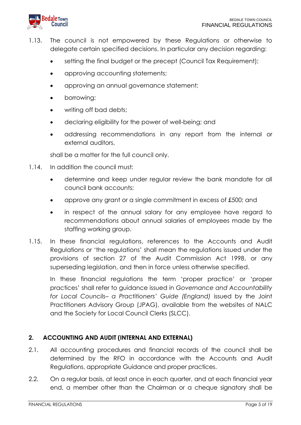

- 1.13. The council is not empowered by these Regulations or otherwise to delegate certain specified decisions. In particular any decision regarding:
	- setting the final budget or the precept (Council Tax Requirement);
	- approving accounting statements;
	- approving an annual governance statement;
	- borrowing;
	- writing off bad debts;
	- declaring eligibility for the power of well-being; and
	- addressing recommendations in any report from the internal or external auditors,

shall be a matter for the full council only.

- 1.14. In addition the council must:
	- determine and keep under regular review the bank mandate for all council bank accounts;
	- approve any grant or a single commitment in excess of £500; and
	- in respect of the annual salary for any employee have regard to recommendations about annual salaries of employees made by the staffing working group.
- 1.15. In these financial regulations, references to the Accounts and Audit Regulations or 'the regulations' shall mean the regulations issued under the provisions of section 27 of the Audit Commission Act 1998, or any superseding legislation, and then in force unless otherwise specified.

In these financial regulations the term 'proper practice' or 'proper practices' shall refer to guidance issued in *Governance and Accountability for Local Councils– a Practitioners' Guide (England)* issued by the Joint Practitioners Advisory Group (JPAG), available from the websites of NALC and the Society for Local Council Clerks (SLCC).

#### <span id="page-4-0"></span>**2. ACCOUNTING AND AUDIT (INTERNAL AND EXTERNAL)**

- 2.1. All accounting procedures and financial records of the council shall be determined by the RFO in accordance with the Accounts and Audit Regulations, appropriate Guidance and proper practices.
- 2.2. On a regular basis, at least once in each quarter, and at each financial year end, a member other than the Chairman or a cheque signatory shall be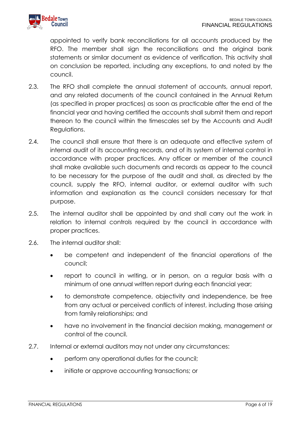

appointed to verify bank reconciliations for all accounts produced by the RFO. The member shall sign the reconciliations and the original bank statements or similar document as evidence of verification. This activity shall on conclusion be reported, including any exceptions, to and noted by the council.

- 2.3. The RFO shall complete the annual statement of accounts, annual report, and any related documents of the council contained in the Annual Return (as specified in proper practices) as soon as practicable after the end of the financial year and having certified the accounts shall submit them and report thereon to the council within the timescales set by the Accounts and Audit Regulations.
- 2.4. The council shall ensure that there is an adequate and effective system of internal audit of its accounting records, and of its system of internal control in accordance with proper practices. Any officer or member of the council shall make available such documents and records as appear to the council to be necessary for the purpose of the audit and shall, as directed by the council, supply the RFO, internal auditor, or external auditor with such information and explanation as the council considers necessary for that purpose.
- 2.5. The internal auditor shall be appointed by and shall carry out the work in relation to internal controls required by the council in accordance with proper practices.
- 2.6. The internal auditor shall:
	- be competent and independent of the financial operations of the council;
	- report to council in writing, or in person, on a regular basis with a minimum of one annual written report during each financial year;
	- to demonstrate competence, objectivity and independence, be free from any actual or perceived conflicts of interest, including those arising from family relationships; and
	- have no involvement in the financial decision making, management or control of the council.
- 2.7. Internal or external auditors may not under any circumstances:
	- perform any operational duties for the council;
	- initiate or approve accounting transactions; or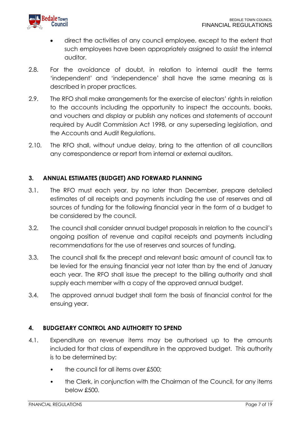

- direct the activities of any council employee, except to the extent that such employees have been appropriately assigned to assist the internal auditor.
- 2.8. For the avoidance of doubt, in relation to internal audit the terms 'independent' and 'independence' shall have the same meaning as is described in proper practices.
- 2.9. The RFO shall make arrangements for the exercise of electors' rights in relation to the accounts including the opportunity to inspect the accounts, books, and vouchers and display or publish any notices and statements of account required by Audit Commission Act 1998, or any superseding legislation, and the Accounts and Audit Regulations.
- 2.10. The RFO shall, without undue delay, bring to the attention of all councillors any correspondence or report from internal or external auditors.

# <span id="page-6-0"></span>**3. ANNUAL ESTIMATES (BUDGET) AND FORWARD PLANNING**

- 3.1. The RFO must each year, by no later than December, prepare detailed estimates of all receipts and payments including the use of reserves and all sources of funding for the following financial year in the form of a budget to be considered by the council.
- 3.2. The council shall consider annual budget proposals in relation to the council's ongoing position of revenue and capital receipts and payments including recommendations for the use of reserves and sources of funding.
- 3.3. The council shall fix the precept and relevant basic amount of council tax to be levied for the ensuing financial year not later than by the end of January each year. The RFO shall issue the precept to the billing authority and shall supply each member with a copy of the approved annual budget.
- 3.4. The approved annual budget shall form the basis of financial control for the ensuing year.

#### <span id="page-6-1"></span>**4. BUDGETARY CONTROL AND AUTHORITY TO SPEND**

- 4.1. Expenditure on revenue items may be authorised up to the amounts included for that class of expenditure in the approved budget. This authority is to be determined by:
	- the council for all items over £500:
	- the Clerk, in conjunction with the Chairman of the Council, for any items below £500.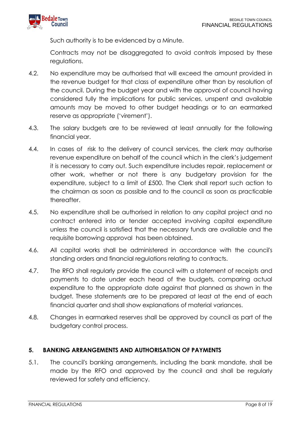

Such authority is to be evidenced by a Minute.

Contracts may not be disaggregated to avoid controls imposed by these regulations.

- 4.2. No expenditure may be authorised that will exceed the amount provided in the revenue budget for that class of expenditure other than by resolution of the council. During the budget year and with the approval of council having considered fully the implications for public services, unspent and available amounts may be moved to other budget headings or to an earmarked reserve as appropriate ('virement').
- 4.3. The salary budgets are to be reviewed at least annually for the following financial year.
- 4.4. In cases of risk to the delivery of council services, the clerk may authorise revenue expenditure on behalf of the council which in the clerk's judgement it is necessary to carry out. Such expenditure includes repair, replacement or other work, whether or not there is any budgetary provision for the expenditure, subject to a limit of £500. The Clerk shall report such action to the chairman as soon as possible and to the council as soon as practicable thereafter.
- 4.5. No expenditure shall be authorised in relation to any capital project and no contract entered into or tender accepted involving capital expenditure unless the council is satisfied that the necessary funds are available and the requisite borrowing approval has been obtained.
- 4.6. All capital works shall be administered in accordance with the council's standing orders and financial regulations relating to contracts.
- 4.7. The RFO shall regularly provide the council with a statement of receipts and payments to date under each head of the budgets, comparing actual expenditure to the appropriate date against that planned as shown in the budget. These statements are to be prepared at least at the end of each financial quarter and shall show explanations of material variances.
- 4.8. Changes in earmarked reserves shall be approved by council as part of the budgetary control process.

# <span id="page-7-0"></span>**5. BANKING ARRANGEMENTS AND AUTHORISATION OF PAYMENTS**

5.1. The council's banking arrangements, including the bank mandate, shall be made by the RFO and approved by the council and shall be regularly reviewed for safety and efficiency.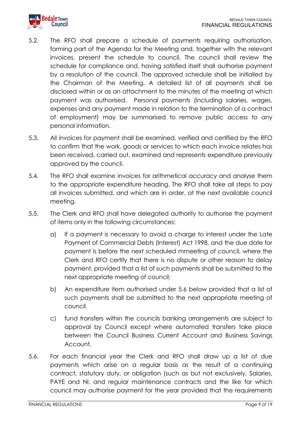

- 5.2. The RFO shall prepare a schedule of payments requiring authorisation, forming part of the Agenda for the Meeting and, together with the relevant invoices, present the schedule to council. The council shall review the schedule for compliance and, having satisfied itself shall authorise payment by a resolution of the council. The approved schedule shall be initialled by the Chairman of the Meeting. A detailed list of all payments shall be disclosed within or as an attachment to the minutes of the meeting at which payment was authorised. Personal payments (including salaries, wages, expenses and any payment made in relation to the termination of a contract of employment) may be summarised to remove public access to any personal information.
- 5.3. All invoices for payment shall be examined, verified and certified by the RFO to confirm that the work, goods or services to which each invoice relates has been received, carried out, examined and represents expenditure previously approved by the council.
- 5.4. The RFO shall examine invoices for arithmetical accuracy and analyse them to the appropriate expenditure heading. The RFO shall take all steps to pay all invoices submitted, and which are in order, at the next available council meeting.
- 5.5. The Clerk and RFO shall have delegated authority to authorise the payment of items only in the following circumstances:
	- a) If a payment is necessary to avoid a charge to interest under the Late Payment of Commercial Debts (Interest) Act 1998, and the due date for payment is before the next scheduled mmeeting of council, where the Clerk and RFO certify that there is no dispute or other reason to delay payment, provided that a list of such payments shall be submitted to the next appropriate meeting of council;
	- b) An expenditure item authorised under 5.6 below provided that a list of such payments shall be submitted to the next appropriate meeting of council.
	- c) fund transfers within the councils banking arrangements are subject to approval by Council except where automated transfers take place between the Council Business Current Account and Business Savings Account.
- 5.6. For each financial year the Clerk and RFO shall draw up a list of due payments which arise on a regular basis as the result of a continuing contract, statutory duty, or obligation (such as but not exclusively, Salaries, PAYE and NI, and regular maintenance contracts and the like for which council may authorise payment for the year provided that the requirements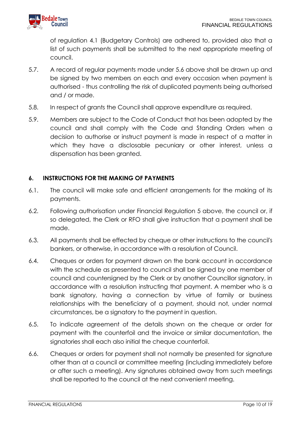of regulation 4.1 (Budgetary Controls) are adhered to, provided also that a list of such payments shall be submitted to the next appropriate meeting of council.

- 5.7. A record of regular payments made under 5.6 above shall be drawn up and be signed by two members on each and every occasion when payment is authorised - thus controlling the risk of duplicated payments being authorised and / or made.
- 5.8. In respect of grants the Council shall approve expenditure as required.
- 5.9. Members are subject to the Code of Conduct that has been adopted by the council and shall comply with the Code and Standing Orders when a decision to authorise or instruct payment is made in respect of a matter in which they have a disclosable pecuniary or other interest, unless a dispensation has been granted.

#### <span id="page-9-0"></span>**6. INSTRUCTIONS FOR THE MAKING OF PAYMENTS**

- 6.1. The council will make safe and efficient arrangements for the making of its payments.
- 6.2. Following authorisation under Financial Regulation 5 above, the council or, if so delegated, the Clerk or RFO shall give instruction that a payment shall be made.
- 6.3. All payments shall be effected by cheque or other instructions to the council's bankers, or otherwise, in accordance with a resolution of Council.
- 6.4. Cheques or orders for payment drawn on the bank account in accordance with the schedule as presented to council shall be signed by one member of council and countersigned by the Clerk or by another Councillor signatory, in accordance with a resolution instructing that payment. A member who is a bank signatory, having a connection by virtue of family or business relationships with the beneficiary of a payment, should not, under normal circumstances, be a signatory to the payment in question.
- 6.5. To indicate agreement of the details shown on the cheque or order for payment with the counterfoil and the invoice or similar documentation, the signatories shall each also initial the cheque counterfoil.
- 6.6. Cheques or orders for payment shall not normally be presented for signature other than at a council or committee meeting (including immediately before or after such a meeting). Any signatures obtained away from such meetings shall be reported to the council at the next convenient meeting.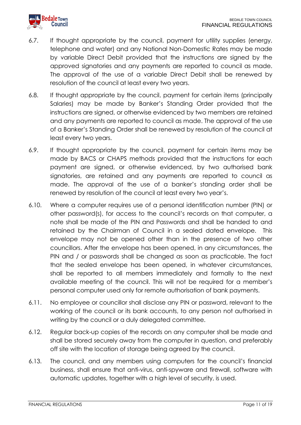

- 6.7. If thought appropriate by the council, payment for utility supplies (energy, telephone and water) and any National Non-Domestic Rates may be made by variable Direct Debit provided that the instructions are signed by the approved signatories and any payments are reported to council as made. The approval of the use of a variable Direct Debit shall be renewed by resolution of the council at least every two years.
- 6.8. If thought appropriate by the council, payment for certain items (principally Salaries) may be made by Banker's Standing Order provided that the instructions are signed, or otherwise evidenced by two members are retained and any payments are reported to council as made. The approval of the use of a Banker's Standing Order shall be renewed by resolution of the council at least every two years.
- 6.9. If thought appropriate by the council, payment for certain items may be made by BACS or CHAPS methods provided that the instructions for each payment are signed, or otherwise evidenced, by two authorised bank signatories, are retained and any payments are reported to council as made. The approval of the use of a banker's standing order shall be renewed by resolution of the council at least every two year's.
- 6.10. Where a computer requires use of a personal identification number (PIN) or other password(s), for access to the council's records on that computer, a note shall be made of the PIN and Passwords and shall be handed to and retained by the Chairman of Council in a sealed dated envelope. This envelope may not be opened other than in the presence of two other councillors. After the envelope has been opened, in any circumstances, the PIN and / or passwords shall be changed as soon as practicable. The fact that the sealed envelope has been opened, in whatever circumstances, shall be reported to all members immediately and formally to the next available meeting of the council. This will not be required for a member's personal computer used only for remote authorisation of bank payments.
- 6.11. No employee or councillor shall disclose any PIN or password, relevant to the working of the council or its bank accounts, to any person not authorised in writing by the council or a duly delegated committee.
- 6.12. Regular back-up copies of the records on any computer shall be made and shall be stored securely away from the computer in question, and preferably off site with the location of storage being agreed by the council.
- 6.13. The council, and any members using computers for the council's financial business, shall ensure that anti-virus, anti-spyware and firewall, software with automatic updates, together with a high level of security, is used.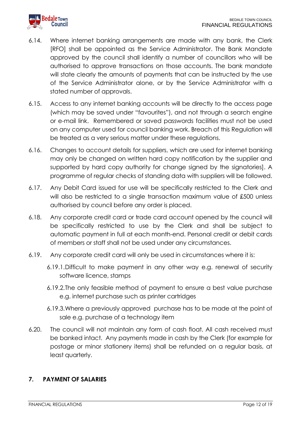

- 6.14. Where internet banking arrangements are made with any bank, the Clerk [RFO] shall be appointed as the Service Administrator. The Bank Mandate approved by the council shall identify a number of councillors who will be authorised to approve transactions on those accounts. The bank mandate will state clearly the amounts of payments that can be instructed by the use of the Service Administrator alone, or by the Service Administrator with a stated number of approvals.
- 6.15. Access to any internet banking accounts will be directly to the access page (which may be saved under "favourites"), and not through a search engine or e-mail link. Remembered or saved passwords facilities must not be used on any computer used for council banking work. Breach of this Regulation will be treated as a very serious matter under these regulations.
- 6.16. Changes to account details for suppliers, which are used for internet banking may only be changed on written hard copy notification by the supplier and supported by hard copy authority for change signed by the signatories]. A programme of regular checks of standing data with suppliers will be followed.
- 6.17. Any Debit Card issued for use will be specifically restricted to the Clerk and will also be restricted to a single transaction maximum value of £500 unless authorised by council before any order is placed.
- 6.18. Any corporate credit card or trade card account opened by the council will be specifically restricted to use by the Clerk and shall be subject to automatic payment in full at each month-end. Personal credit or debit cards of members or staff shall not be used under any circumstances.
- 6.19. Any corporate credit card will only be used in circumstances where it is:
	- 6.19.1.Difficult to make payment in any other way e.g. renewal of security software licence, stamps
	- 6.19.2.The only feasible method of payment to ensure a best value purchase e.g. internet purchase such as printer cartridges
	- 6.19.3.Where a previously approved purchase has to be made at the point of sale e.g. purchase of a technology item
- 6.20. The council will not maintain any form of cash float. All cash received must be banked intact. Any payments made in cash by the Clerk (for example for postage or minor stationery items) shall be refunded on a regular basis, at least quarterly.

#### <span id="page-11-0"></span>**7. PAYMENT OF SALARIES**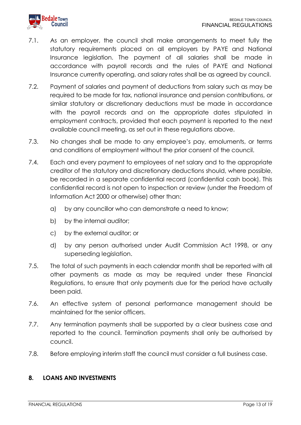

- 7.1. As an employer, the council shall make arrangements to meet fully the statutory requirements placed on all employers by PAYE and National Insurance legislation. The payment of all salaries shall be made in accordance with payroll records and the rules of PAYE and National Insurance currently operating, and salary rates shall be as agreed by council.
- 7.2. Payment of salaries and payment of deductions from salary such as may be required to be made for tax, national insurance and pension contributions, or similar statutory or discretionary deductions must be made in accordance with the payroll records and on the appropriate dates stipulated in employment contracts, provided that each payment is reported to the next available council meeting, as set out in these regulations above.
- 7.3. No changes shall be made to any employee's pay, emoluments, or terms and conditions of employment without the prior consent of the council.
- 7.4. Each and every payment to employees of net salary and to the appropriate creditor of the statutory and discretionary deductions should, where possible, be recorded in a separate confidential record (confidential cash book). This confidential record is not open to inspection or review (under the Freedom of Information Act 2000 or otherwise) other than:
	- a) by any councillor who can demonstrate a need to know;
	- b) by the internal auditor;
	- c) by the external auditor; or
	- d) by any person authorised under Audit Commission Act 1998, or any superseding legislation.
- 7.5. The total of such payments in each calendar month shall be reported with all other payments as made as may be required under these Financial Regulations, to ensure that only payments due for the period have actually been paid.
- 7.6. An effective system of personal performance management should be maintained for the senior officers.
- 7.7. Any termination payments shall be supported by a clear business case and reported to the council. Termination payments shall only be authorised by council.
- 7.8. Before employing interim staff the council must consider a full business case.

#### <span id="page-12-0"></span>**8. LOANS AND INVESTMENTS**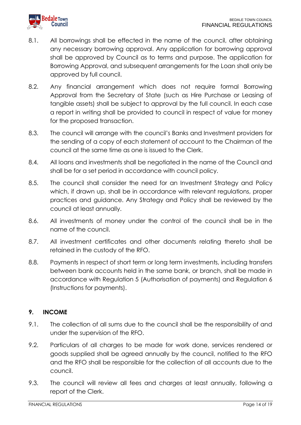

- 8.1. All borrowings shall be effected in the name of the council, after obtaining any necessary borrowing approval. Any application for borrowing approval shall be approved by Council as to terms and purpose. The application for Borrowing Approval, and subsequent arrangements for the Loan shall only be approved by full council.
- 8.2. Any financial arrangement which does not require formal Borrowing Approval from the Secretary of State (such as Hire Purchase or Leasing of tangible assets) shall be subject to approval by the full council. In each case a report in writing shall be provided to council in respect of value for money for the proposed transaction.
- 8.3. The council will arrange with the council's Banks and Investment providers for the sending of a copy of each statement of account to the Chairman of the council at the same time as one is issued to the Clerk.
- 8.4. All loans and investments shall be negotiated in the name of the Council and shall be for a set period in accordance with council policy.
- 8.5. The council shall consider the need for an Investment Strategy and Policy which, if drawn up, shall be in accordance with relevant regulations, proper practices and guidance. Any Strategy and Policy shall be reviewed by the council at least annually.
- 8.6. All investments of money under the control of the council shall be in the name of the council.
- 8.7. All investment certificates and other documents relating thereto shall be retained in the custody of the RFO.
- 8.8. Payments in respect of short term or long term investments, including transfers between bank accounts held in the same bank, or branch, shall be made in accordance with Regulation 5 (Authorisation of payments) and Regulation 6 (Instructions for payments).

#### <span id="page-13-0"></span>**9. INCOME**

- 9.1. The collection of all sums due to the council shall be the responsibility of and under the supervision of the RFO.
- 9.2. Particulars of all charges to be made for work done, services rendered or goods supplied shall be agreed annually by the council, notified to the RFO and the RFO shall be responsible for the collection of all accounts due to the council.
- 9.3. The council will review all fees and charges at least annually, following a report of the Clerk.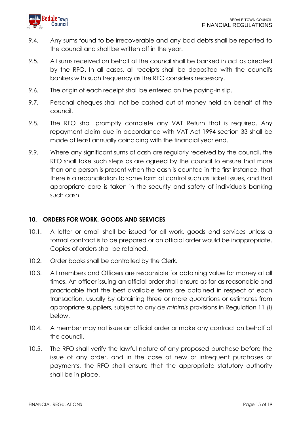

- 9.4. Any sums found to be irrecoverable and any bad debts shall be reported to the council and shall be written off in the year.
- 9.5. All sums received on behalf of the council shall be banked intact as directed by the RFO. In all cases, all receipts shall be deposited with the council's bankers with such frequency as the RFO considers necessary.
- 9.6. The origin of each receipt shall be entered on the paying-in slip.
- 9.7. Personal cheques shall not be cashed out of money held on behalf of the council.
- 9.8. The RFO shall promptly complete any VAT Return that is required. Any repayment claim due in accordance with VAT Act 1994 section 33 shall be made at least annually coinciding with the financial year end.
- 9.9. Where any significant sums of cash are regularly received by the council, the RFO shall take such steps as are agreed by the council to ensure that more than one person is present when the cash is counted in the first instance, that there is a reconciliation to some form of control such as ticket issues, and that appropriate care is taken in the security and safety of individuals banking such cash.

#### <span id="page-14-0"></span>**10. ORDERS FOR WORK, GOODS AND SERVICES**

- 10.1. A letter or email shall be issued for all work, goods and services unless a formal contract is to be prepared or an official order would be inappropriate. Copies of orders shall be retained.
- 10.2. Order books shall be controlled by the Clerk.
- 10.3. All members and Officers are responsible for obtaining value for money at all times. An officer issuing an official order shall ensure as far as reasonable and practicable that the best available terms are obtained in respect of each transaction, usually by obtaining three or more quotations or estimates from appropriate suppliers, subject to any *de minimis* provisions in Regulation 11 (I) below.
- 10.4. A member may not issue an official order or make any contract on behalf of the council.
- 10.5. The RFO shall verify the lawful nature of any proposed purchase before the issue of any order, and in the case of new or infrequent purchases or payments, the RFO shall ensure that the appropriate statutory authority shall be in place.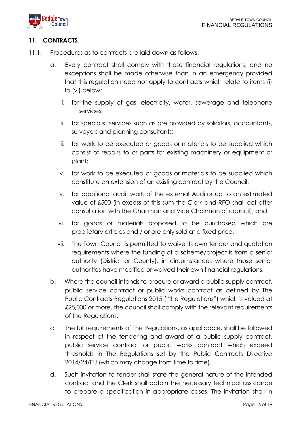

# <span id="page-15-0"></span>**11. CONTRACTS**

- 11.1. Procedures as to contracts are laid down as follows:
	- a. Every contract shall comply with these financial regulations, and no exceptions shall be made otherwise than in an emergency provided that this regulation need not apply to contracts which relate to items (i) to (vi) below:
		- i. for the supply of gas, electricity, water, sewerage and telephone services;
		- ii. for specialist services such as are provided by solicitors, accountants, surveyors and planning consultants;
		- iii. for work to be executed or goods or materials to be supplied which consist of repairs to or parts for existing machinery or equipment or plant;
		- iv. for work to be executed or goods or materials to be supplied which constitute an extension of an existing contract by the Council;
		- v. for additional audit work of the external Auditor up to an estimated value of £500 (in excess of this sum the Clerk and RFO shall act after consultation with the Chairman and Vice Chairman of council); and
		- vi. for goods or materials proposed to be purchased which are proprietary articles and / or are only sold at a fixed price.
		- vii. The Town Council is permitted to waive its own tender and quotation requirements where the funding of a scheme/project is from a senior authority (District or County), in circumstances where those senior authorities have modified or waived their own financial regulations.
	- b. Where the council intends to procure or award a public supply contract, public service contract or public works contract as defined by The Public Contracts Regulations 2015 ("the Regulations") which is valued at £25,000 or more, the council shall comply with the relevant requirements of the Regulations.
	- c. The full requirements of The Regulations, as applicable, shall be followed in respect of the tendering and award of a public supply contract, public service contract or public works contract which exceed thresholds in The Regulations set by the Public Contracts Directive 2014/24/EU (which may change from time to time).
	- d. Such invitation to tender shall state the general nature of the intended contract and the Clerk shall obtain the necessary technical assistance to prepare a specification in appropriate cases. The invitation shall in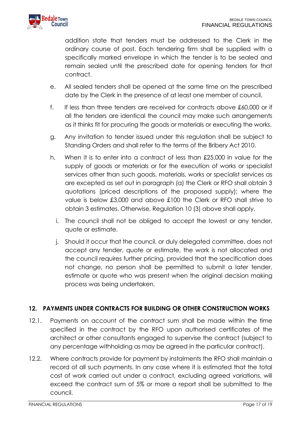addition state that tenders must be addressed to the Clerk in the ordinary course of post. Each tendering firm shall be supplied with a specifically marked envelope in which the tender is to be sealed and remain sealed until the prescribed date for opening tenders for that contract.

- e. All sealed tenders shall be opened at the same time on the prescribed date by the Clerk in the presence of at least one member of council.
- f. If less than three tenders are received for contracts above £60,000 or if all the tenders are identical the council may make such arrangements as it thinks fit for procuring the goods or materials or executing the works.
- g. Any invitation to tender issued under this regulation shall be subject to Standing Orders and shall refer to the terms of the Bribery Act 2010.
- h. When it is to enter into a contract of less than £25,000 in value for the supply of goods or materials or for the execution of works or specialist services other than such goods, materials, works or specialist services as are excepted as set out in paragraph (a) the Clerk or RFO shall obtain 3 quotations (priced descriptions of the proposed supply); where the value is below £3,000 and above £100 the Clerk or RFO shall strive to obtain 3 estimates. Otherwise, Regulation 10 (3) above shall apply.
	- i. The council shall not be obliged to accept the lowest or any tender, quote or estimate.
	- j. Should it occur that the council, or duly delegated committee, does not accept any tender, quote or estimate, the work is not allocated and the council requires further pricing, provided that the specification does not change, no person shall be permitted to submit a later tender, estimate or quote who was present when the original decision making process was being undertaken.

# <span id="page-16-0"></span>**12. PAYMENTS UNDER CONTRACTS FOR BUILDING OR OTHER CONSTRUCTION WORKS**

- 12.1. Payments on account of the contract sum shall be made within the time specified in the contract by the RFO upon authorised certificates of the architect or other consultants engaged to supervise the contract (subject to any percentage withholding as may be agreed in the particular contract).
- 12.2. Where contracts provide for payment by instalments the RFO shall maintain a record of all such payments. In any case where it is estimated that the total cost of work carried out under a contract, excluding agreed variations, will exceed the contract sum of 5% or more a report shall be submitted to the council.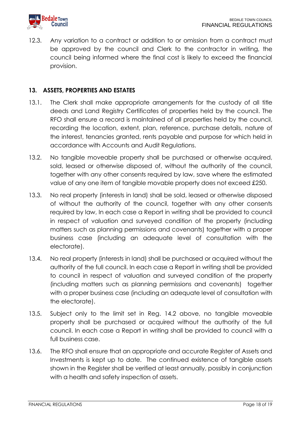

12.3. Any variation to a contract or addition to or omission from a contract must be approved by the council and Clerk to the contractor in writing, the council being informed where the final cost is likely to exceed the financial provision.

#### <span id="page-17-0"></span>**13. ASSETS, PROPERTIES AND ESTATES**

- 13.1. The Clerk shall make appropriate arrangements for the custody of all title deeds and Land Registry Certificates of properties held by the council. The RFO shall ensure a record is maintained of all properties held by the council, recording the location, extent, plan, reference, purchase details, nature of the interest, tenancies granted, rents payable and purpose for which held in accordance with Accounts and Audit Regulations.
- 13.2. No tangible moveable property shall be purchased or otherwise acquired, sold, leased or otherwise disposed of, without the authority of the council, together with any other consents required by law, save where the estimated value of any one item of tangible movable property does not exceed £250.
- 13.3. No real property (interests in land) shall be sold, leased or otherwise disposed of without the authority of the council, together with any other consents required by law, In each case a Report in writing shall be provided to council in respect of valuation and surveyed condition of the property (including matters such as planning permissions and covenants) together with a proper business case (including an adequate level of consultation with the electorate).
- 13.4. No real property (interests in land) shall be purchased or acquired without the authority of the full council. In each case a Report in writing shall be provided to council in respect of valuation and surveyed condition of the property (including matters such as planning permissions and covenants) together with a proper business case (including an adequate level of consultation with the electorate).
- 13.5. Subject only to the limit set in Reg. 14.2 above, no tangible moveable property shall be purchased or acquired without the authority of the full council. In each case a Report in writing shall be provided to council with a full business case.
- 13.6. The RFO shall ensure that an appropriate and accurate Register of Assets and Investments is kept up to date. The continued existence of tangible assets shown in the Register shall be verified at least annually, possibly in conjunction with a health and safety inspection of assets.